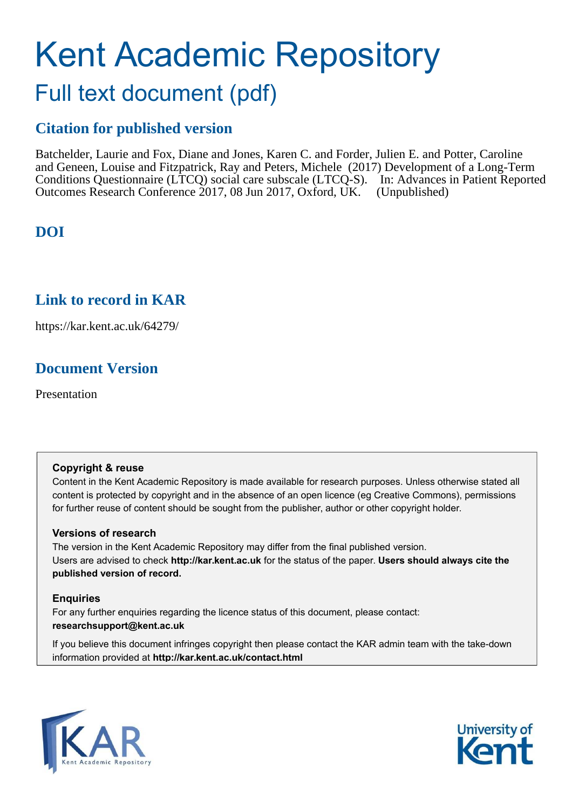# Kent Academic Repository

# Full text document (pdf)

#### **Citation for published version**

Batchelder, Laurie and Fox, Diane and Jones, Karen C. and Forder, Julien E. and Potter, Caroline and Geneen, Louise and Fitzpatrick, Ray and Peters, Michele (2017) Development of a Long-Term Conditions Questionnaire (LTCQ) social care subscale (LTCQ-S). In: Advances in Patient Reported Outcomes Research Conference 2017, 08 Jun 2017, Oxford, UK. (Unpublished)

#### **DOI**

#### **Link to record in KAR**

https://kar.kent.ac.uk/64279/

#### **Document Version**

Presentation

#### **Copyright & reuse**

Content in the Kent Academic Repository is made available for research purposes. Unless otherwise stated all content is protected by copyright and in the absence of an open licence (eg Creative Commons), permissions for further reuse of content should be sought from the publisher, author or other copyright holder.

#### **Versions of research**

The version in the Kent Academic Repository may differ from the final published version. Users are advised to check **http://kar.kent.ac.uk** for the status of the paper. **Users should always cite the published version of record.**

#### **Enquiries**

For any further enquiries regarding the licence status of this document, please contact: **researchsupport@kent.ac.uk**

If you believe this document infringes copyright then please contact the KAR admin team with the take-down information provided at **http://kar.kent.ac.uk/contact.html**